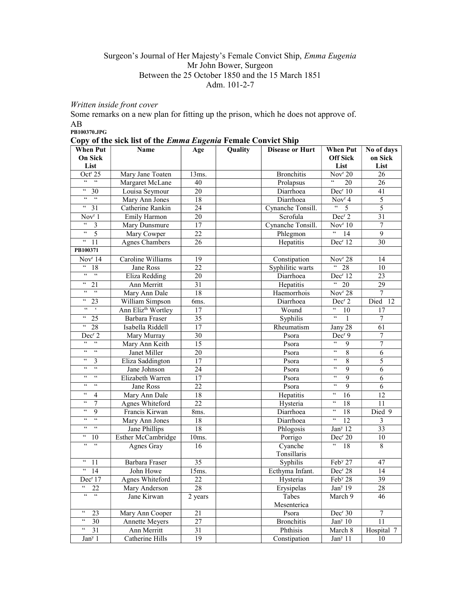## Surgeon's Journal of Her Majesty's Female Convict Ship, Emma Eugenia Mr John Bower, Surgeon Between the 25 October 1850 and the 15 March 1851 Adm. 101-2-7

## Written inside front cover

Some remarks on a new plan for fitting up the prison, which he does not approve of. AB

PB100370.JPG

|  |  |  |  | Copy of the sick list of the <i>Emma Eugenia</i> Female Convict Ship |  |
|--|--|--|--|----------------------------------------------------------------------|--|
|  |  |  |  |                                                                      |  |

| <b>When Put</b>                                         | <b>Name</b>                    | Age             | Quality | <b>Disease or Hurt</b> | <b>When Put</b>                                          | No of days              |
|---------------------------------------------------------|--------------------------------|-----------------|---------|------------------------|----------------------------------------------------------|-------------------------|
| <b>On Sick</b>                                          |                                |                 |         |                        | <b>Off Sick</b>                                          | on Sick                 |
| List                                                    |                                |                 |         |                        | List                                                     | List                    |
| Oct <sup>r</sup> 25                                     | Mary Jane Toaten               | 13ms.           |         | <b>Bronchitis</b>      | Nov <sup>r</sup> 20                                      | 26                      |
| $66 - 66$                                               | Margaret McLane                | 40              |         | Prolapsus              | 20                                                       | 26                      |
| $\epsilon\epsilon$<br>30                                | Louisa Seymour                 | 20              |         | Diarrhoea              | Dec <sup>r</sup> 10                                      | 41                      |
| $\epsilon\,\epsilon$<br>66                              | Mary Ann Jones                 | 18              |         | Diarrhoea              | Nov <sup>r</sup> 4                                       | 5                       |
| $\mathsf{c}\,\mathsf{c}$<br>$\overline{31}$             | Catherine Rankin               | 24              |         | Cynanche Tonsill.      | $\epsilon\epsilon$<br>5                                  | $\overline{5}$          |
| Nov <sup>r</sup> 1                                      | Emily Harmon                   | 20              |         | Scrofula               | Dec <sup>r</sup> 2                                       | $\overline{31}$         |
| $\mathfrak{c}\mathfrak{c}$<br>$\overline{\mathbf{3}}$   | Mary Dunsmure                  | 17              |         | Cynanche Tonsill.      | Nov <sup>r</sup> 10                                      | 7                       |
| $\overline{\mathfrak{c}\mathfrak{c}}$<br>$\overline{5}$ | Mary Cowper                    | 22              |         | Phlegmon               | $\epsilon\epsilon$<br>14                                 | $\overline{9}$          |
| $\epsilon\epsilon$<br>11                                | <b>Agnes Chambers</b>          | 26              |         | Hepatitis              | Dec <sup>r</sup> 12                                      | 30                      |
| PB100371                                                |                                |                 |         |                        |                                                          |                         |
| Nov <sup>r</sup> 14                                     | Caroline Williams              | 19              |         | Constipation           | Nov <sup>r</sup> 28                                      | 14                      |
| $\epsilon\,\epsilon$<br>18                              | Jane Ross                      | 22              |         | Syphilitic warts       | $\frac{1}{28}$                                           | 10                      |
| $\epsilon\epsilon$<br>$\sqrt{6}$                        | Eliza Redding                  | 20              |         | Diarrhoea              | Dec <sup>r</sup> 12                                      | 23                      |
| $\epsilon\,\epsilon$<br>21                              | Ann Merritt                    | 31              |         | Hepatitis              | $\frac{1}{20}$                                           | 29                      |
| $-66$<br>$\epsilon\epsilon$                             | Mary Ann Dale                  | $\overline{18}$ |         | Haemorrhois            | Nov <sup>r</sup> 28                                      | $\overline{7}$          |
| $\mathfrak{c}\mathfrak{c}$<br>23                        | William Simpson                | 6ms.            |         | Diarrhoea              | Dec <sup>r</sup> 2                                       | Died<br>12              |
| $\epsilon\epsilon=-\epsilon$                            | Ann Eliz <sup>th</sup> Wortley | 17              |         | Wound                  | $\mathfrak{c}\mathfrak{c}$<br>10                         | 17                      |
| $\epsilon\epsilon$<br>25                                | Barbara Fraser                 | $\overline{35}$ |         | Syphilis               | $\overline{\mathfrak{c}}$<br>$\mathbf{1}$                | 7                       |
| $\boldsymbol{\varsigma}$ $\boldsymbol{\varsigma}$<br>28 | Isabella Riddell               | 17              |         | Rheumatism             | Jany 28                                                  | 61                      |
| Dec <sup>r</sup> 2                                      | Mary Murray                    | 30              |         | Psora                  | Dec <sup>r</sup> 9                                       | 7                       |
| $\epsilon\epsilon$<br>$\zeta\,\zeta$                    | Mary Ann Keith                 | 15              |         | Psora                  | $\zeta\,\zeta$<br>9                                      | $\overline{7}$          |
| $\epsilon\,\epsilon$<br>$\zeta\,\zeta$                  | Janet Miller                   | 20              |         | Psora                  | $\zeta\,\zeta$<br>$\overline{8}$                         | $\overline{6}$          |
| $\zeta\,\zeta$<br>3                                     | Eliza Saddington               | 17              |         | Psora                  | $\mathfrak{c}\mathfrak{c}$<br>8                          | 5                       |
| $\epsilon\epsilon$<br>$\zeta\,\zeta$                    | Jane Johnson                   | 24              |         | Psora                  | $\zeta\,\zeta$<br>9                                      | 6                       |
| $\zeta\,\zeta$<br>$\epsilon\epsilon$                    | Elizabeth Warren               | 17              |         | Psora                  | $\zeta \, \zeta$<br>9                                    | 6                       |
| $\epsilon\epsilon$<br>$\,$ 6 $\,$                       | Jane Ross                      | 22              |         | Psora                  | $\zeta\,\zeta$<br>9                                      | 6                       |
| $\zeta\,\zeta$<br>4                                     | Mary Ann Dale                  | 18              |         | Hepatitis              | $\boldsymbol{\varsigma} \, \boldsymbol{\varsigma}$<br>16 | 12                      |
| $\zeta\,\zeta$<br>7                                     | Agnes Whiteford                | 22              |         | Hysteria               | $\zeta\,\zeta$<br>18                                     | 11                      |
| $\zeta\,\zeta$<br>9                                     | Francis Kirwan                 | 8ms.            |         | Diarrhoea              | $\zeta\,\zeta$<br>18                                     | Died 9                  |
| 66<br>$\zeta\,\zeta$                                    | Mary Ann Jones                 | $\overline{18}$ |         | Diarrhoea              | $\mathfrak{c}\mathfrak{c}$<br>$\overline{12}$            | $\overline{\mathbf{3}}$ |
| $\zeta\zeta$<br>$\zeta\,\zeta$                          | Jane Phillips                  | 18              |         | Phlogosis              | Jan <sup>y</sup> 12                                      | 33                      |
| $\epsilon\epsilon$<br>10                                | Esther McCambridge             | $10ms$ .        |         | Porrigo                | Dec <sup>r</sup> 20                                      | $\overline{10}$         |
| $\overline{\mathbf{G}}$<br>$\epsilon\epsilon$           | Agnes Gray                     | 16              |         | Cyanche                | $\overline{\mathfrak{c}}$<br>18                          | 8                       |
|                                                         |                                |                 |         | Tonsillaris            |                                                          |                         |
| $\mathsf{c}\,\mathsf{c}$<br>11                          | Barbara Fraser                 | 35              |         | Syphilis               | Feb <sup>y</sup> 27                                      | 47                      |
| 66<br>14                                                | John Howe                      | 15ms.           |         | Ecthyma Infant.        | Dec <sup>r</sup> 28                                      | 14                      |
| Dec <sup>r</sup> 17                                     | Agnes Whiteford                | 22              |         | Hysteria               | Feb <sup>y</sup> 28                                      | 39                      |
| 66<br>22                                                | Mary Anderson                  | 28              |         | Erysipelas             | Jan <sup>y</sup> 19                                      | 28                      |
| $\epsilon\epsilon$<br>$\mathsf{c}\,\mathsf{c}$          | Jane Kirwan                    | 2 years         |         | Tabes                  | March 9                                                  | 46                      |
|                                                         |                                |                 |         | Mesenterica            |                                                          |                         |
| $\boldsymbol{\varsigma}$ $\boldsymbol{\varsigma}$<br>23 | Mary Ann Cooper                | 21              |         | Psora                  | $\overline{Dec}^r 30$                                    | $\boldsymbol{7}$        |
| $\epsilon\epsilon$<br>30                                | Annette Meyers                 | 27              |         | <b>Bronchitis</b>      | Jan <sup>y</sup> 10                                      | 11                      |
| $\epsilon\epsilon$<br>31                                | Ann Merritt                    | 31              |         | Phthisis               | March 8                                                  | Hospital 7              |
| Jan <sup>y</sup> 1                                      | Catherine Hills                | 19              |         | Constipation           | Jan <sup>y</sup> 11                                      | 10                      |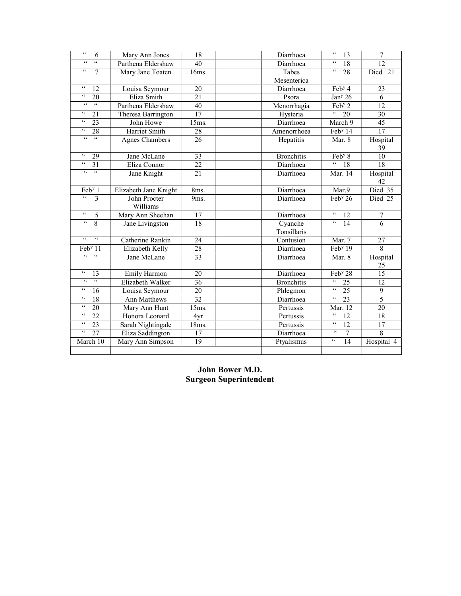| $\epsilon\epsilon$<br>6                  | Mary Ann Jones        | 18              | Diarrhoea         | $\epsilon\epsilon$<br>13                      | 7              |
|------------------------------------------|-----------------------|-----------------|-------------------|-----------------------------------------------|----------------|
| $\epsilon\epsilon$<br>$\zeta\,\zeta$     | Parthena Eldershaw    | 40              | Diarrhoea         | $\zeta\,\zeta$<br>18                          | 12             |
| $\zeta\,\zeta$<br>7                      | Mary Jane Toaten      | 16ms.           | Tabes             | $\zeta \, \zeta$<br>28                        | Died 21        |
|                                          |                       |                 | Mesenterica       |                                               |                |
| $\zeta\,\zeta$<br>12                     | Louisa Seymour        | 20              | Diarrhoea         | $Feby$ 4                                      | 23             |
| $\zeta\,\zeta$<br>20                     | Eliza Smith           | 21              | Psora             | Jan <sup>y</sup> 26                           | 6              |
| $\zeta\,\zeta$<br>$\zeta\,\zeta$         | Parthena Eldershaw    | 40              | Menorrhagia       | $\overline{\text{Feb}^y 2}$                   | 12             |
| $\zeta\,\zeta$<br>21                     | Theresa Barrington    | 17              | Hysteria          | $\epsilon$<br>$\overline{20}$                 | 30             |
| $\zeta \, \zeta$<br>23                   | John Howe             | 15ms.           | Diarrhoea         | March 9                                       | 45             |
| $\overline{\mathfrak{c}}$<br>28          | Harriet Smith         | 28              | Amenorrhoea       | Feb <sup>y</sup> 14                           | 17             |
| $\epsilon\epsilon$<br>$\epsilon\epsilon$ | <b>Agnes Chambers</b> | 26              | Hepatitis         | Mar. 8                                        | Hospital       |
|                                          |                       |                 |                   |                                               | 39             |
| $\zeta\,\zeta$<br>29                     | Jane McLane           | 33              | <b>Bronchitis</b> | Feb <sup>y</sup> 8                            | 10             |
| $\zeta\,\zeta$<br>31                     | Eliza Connor          | 22              | Diarrhoea         | $\zeta\,\zeta$<br>18                          | 18             |
| $\zeta\,\zeta$<br>$\zeta\,\zeta$         | Jane Knight           | 21              | Diarrhoea         | Mar. 14                                       | Hospital       |
|                                          |                       |                 |                   |                                               | 42             |
| Feb <sup>y</sup> 1                       | Elizabeth Jane Knight | 8ms.            | Diarrhoea         | Mar.9                                         | Died 35        |
| $\zeta\,\zeta$<br>$\overline{3}$         | John Procter          | 9ms.            | Diarrhoea         | Feb <sup>y</sup> 26                           | Died 25        |
|                                          | Williams              |                 |                   |                                               |                |
| $\overline{66}$<br>$\overline{5}$        | Mary Ann Sheehan      | 17              | Diarrhoea         | $\mathfrak{c}\mathfrak{c}$<br>$\overline{12}$ | 7              |
| $\epsilon\epsilon$<br>8                  | Jane Livingston       | 18              | Cyanche           | $\overline{\mathfrak{c}}$<br>$\overline{14}$  | 6              |
|                                          |                       |                 | Tonsillaris       |                                               |                |
| $\zeta\,\zeta$<br>$\zeta\,\zeta$         | Catherine Rankin      | 24              | Contusion         | Mar. 7                                        | 27             |
| Feb <sup>y</sup> 11                      | Elizabeth Kelly       | $\overline{28}$ | Diarrhoea         | Feb <sup>y</sup> 19                           | 8              |
| $\epsilon$<br>$\zeta\,\zeta$             | Jane McLane           | $\overline{33}$ | Diarrhoea         | Mar. 8                                        | Hospital       |
|                                          |                       |                 |                   |                                               | 25             |
| $\zeta \, \zeta$<br>13                   | Emily Harmon          | 20              | Diarrhoea         | Feb <sup>y</sup> 28                           | 15             |
| $\zeta\,\zeta$<br>$\zeta\,\zeta$         | Elizabeth Walker      | 36              | <b>Bronchitis</b> | $\zeta\,\zeta$<br>25                          | 12             |
| $\zeta\,\zeta$<br>16                     | Louisa Seymour        | 20              | Phlegmon          | $\zeta\,\zeta$<br>25                          | 9              |
| $\zeta\,\zeta$<br>18                     | <b>Ann Matthews</b>   | 32              | Diarrhoea         | $\zeta \, \zeta$<br>$\overline{23}$           | $\overline{5}$ |
| $\zeta\,\zeta$<br>20                     | Mary Ann Hunt         | 15ms.           | Pertussis         | Mar. 12                                       | 20             |
| $\zeta\,\zeta$<br>$\overline{22}$        | Honora Leonard        | 4yr             | Pertussis         | $\zeta\,\zeta$<br>12                          | 18             |
| $\zeta\,\zeta$<br>$\overline{23}$        | Sarah Nightingale     | 18ms.           | Pertussis         | $\boldsymbol{\varsigma}$<br>$\overline{12}$   | 17             |
| $\zeta\,\zeta$<br>$\overline{27}$        | Eliza Saddington      | 17              | Diarrhoea         | $\zeta\,\zeta$<br>$\overline{7}$              | $\overline{8}$ |
| March 10                                 | Mary Ann Simpson      | 19              | Ptyalismus        | $\zeta\,\zeta$<br>14                          | Hospital 4     |
|                                          |                       |                 |                   |                                               |                |

# John Bower M.D. Surgeon Superintendent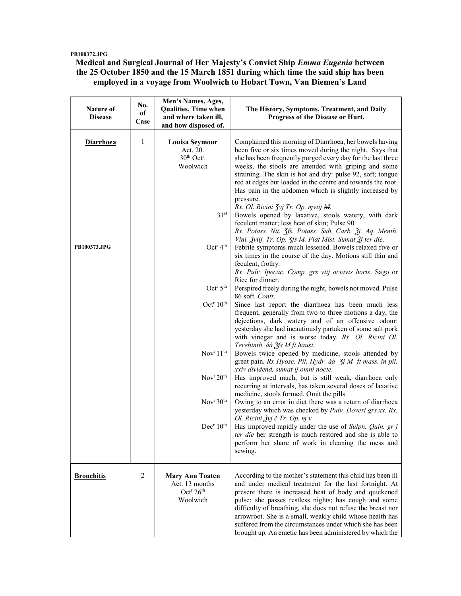### PB100372.JPG

### Medical and Surgical Journal of Her Majesty's Convict Ship Emma Eugenia between the 25 October 1850 and the 15 March 1851 during which time the said ship has been employed in a voyage from Woolwich to Hobart Town, Van Diemen's Land

| Nature of<br><b>Disease</b> | No.<br>of<br>Case | Men's Names, Ages,<br>Qualities, Time when<br>and where taken ill,<br>and how disposed of. | The History, Symptoms, Treatment, and Daily<br>Progress of the Disease or Hurt.                                                                                                                                                                                                                                                                                                                                                                                                            |
|-----------------------------|-------------------|--------------------------------------------------------------------------------------------|--------------------------------------------------------------------------------------------------------------------------------------------------------------------------------------------------------------------------------------------------------------------------------------------------------------------------------------------------------------------------------------------------------------------------------------------------------------------------------------------|
| <b>Diarrhoea</b>            | 1                 | <b>Louisa Seymour</b><br>Aet. 20.<br>$30th$ Oct <sup>r</sup> .<br>Woolwich                 | Complained this morning of Diarrhoea, her bowels having<br>been five or six times moved during the night. Says that<br>she has been frequently purged every day for the last three<br>weeks, the stools are attended with griping and some<br>straining. The skin is hot and dry: pulse 92, soft; tongue<br>red at edges but loaded in the centre and towards the root.<br>Has pain in the abdomen which is slightly increased by<br>pressure.<br>Rx. Ol. Ricini Zvj Tr. Op. mviij M.      |
|                             |                   | 31 <sup>st</sup>                                                                           | Bowels opened by laxative, stools watery, with dark<br>feculent matter; less heat of skin; Pulse 90.<br>Rx. Potass. Nit. 3fs. Potass. Sub. Carb. 3j. Aq. Menth.                                                                                                                                                                                                                                                                                                                            |
| PB100373.JPG                |                   | Oct <sup>r</sup> 4 <sup>th</sup>                                                           | Vini. Žviij. Tr. Op. 3fs M. Fiat Mist. Sumat Žj ter die.<br>Febrile symptoms much lessened. Bowels relaxed five or<br>six times in the course of the day. Motions still thin and<br>feculent, frothy.<br>Rx. Pulv. Ipecac. Comp. grs viij octavis horis. Sago or<br>Rice for dinner.                                                                                                                                                                                                       |
|                             |                   | Oct <sup>r</sup> 5 <sup>th</sup>                                                           | Perspired freely during the night, bowels not moved. Pulse<br>86 soft. Contr.                                                                                                                                                                                                                                                                                                                                                                                                              |
|                             |                   | Oct <sup>r</sup> 10 <sup>th</sup>                                                          | Since last report the diarrhoea has been much less<br>frequent, generally from two to three motions a day, the<br>dejections, dark watery and of an offensive odour:<br>yesterday she had incautiously partaken of some salt pork<br>with vinegar and is worse today. Rx. Ol. Ricini Ol.<br>Terebinth. áá Ѯfs M ft haust.                                                                                                                                                                  |
|                             |                   | Nov <sup>r</sup> 11 <sup>th</sup>                                                          | Bowels twice opened by medicine, stools attended by<br>great pain. Rx Hyosc. Pil. Hydr. áá <i>Jj M ft mass. in pil.</i><br>xxiv dividend, sumat ij omni nocte.                                                                                                                                                                                                                                                                                                                             |
|                             |                   | Nov <sup>r</sup> 20 <sup>th</sup>                                                          | Has improved much, but is still weak, diarrhoea only<br>recurring at intervals, has taken several doses of laxative<br>medicine, stools formed. Omit the pills.                                                                                                                                                                                                                                                                                                                            |
|                             |                   | Nov <sup>r</sup> 30 <sup>th</sup>                                                          | Owing to an error in diet there was a return of diarrhoea<br>yesterday which was checked by Pulv. Doveri grs xx. Rx.<br>Ol. Ricini $3\nu j \in Tr$ . Op. $m$ v.                                                                                                                                                                                                                                                                                                                            |
|                             |                   | Dec <sup>r</sup> 10 <sup>th</sup>                                                          | Has improved rapidly under the use of Sulph. Quin. gr j<br>ter die her strength is much restored and she is able to<br>perform her share of work in cleaning the mess and<br>sewing.                                                                                                                                                                                                                                                                                                       |
| <b>Bronchitis</b>           | 2                 | <b>Mary Ann Toaten</b><br>Aet. 13 months<br>Oct <sup>r</sup> 26 <sup>th</sup><br>Woolwich  | According to the mother's statement this child has been ill<br>and under medical treatment for the last fortnight. At<br>present there is increased heat of body and quickened<br>pulse: she passes restless nights; has cough and some<br>difficulty of breathing, she does not refuse the breast nor<br>arrowroot. She is a small, weakly child whose health has<br>suffered from the circumstances under which she has been<br>brought up. An emetic has been administered by which the |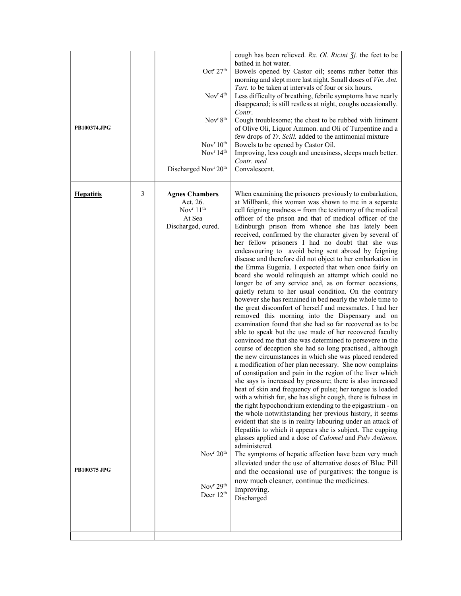| PB100374.JPG                            |   | Oct <sup>r</sup> 27 <sup>th</sup><br>Nov <sup>r</sup> 4 <sup>th</sup><br>Nov <sup>r</sup> 8 <sup>th</sup><br>Nov <sup>r</sup> 10 <sup>th</sup><br>Nov <sup>r</sup> 14 <sup>th</sup><br>Discharged Nov <sup>r</sup> 20 <sup>th</sup> | cough has been relieved. Rx. Ol. Ricini 3j. the feet to be<br>bathed in hot water.<br>Bowels opened by Castor oil; seems rather better this<br>morning and slept more last night. Small doses of Vin. Ant.<br>Tart, to be taken at intervals of four or six hours.<br>Less difficulty of breathing, febrile symptoms have nearly<br>disappeared; is still restless at night, coughs occasionally.<br>Contr.<br>Cough troublesome; the chest to be rubbed with liniment<br>of Olive Oli, Liquor Ammon. and Oli of Turpentine and a<br>few drops of Tr. Scill. added to the antimonial mixture<br>Bowels to be opened by Castor Oil.<br>Improving, less cough and uneasiness, sleeps much better.<br>Contr. med.<br>Convalescent.                                                                                                                                                                                                                                                                                                                                                                                                                                                                                                                                                                                                                                                                                                                                                                                                                                                                                                                                                                                                                                                                                                                                                                                                                                                                                                                                                                                                                                        |
|-----------------------------------------|---|-------------------------------------------------------------------------------------------------------------------------------------------------------------------------------------------------------------------------------------|------------------------------------------------------------------------------------------------------------------------------------------------------------------------------------------------------------------------------------------------------------------------------------------------------------------------------------------------------------------------------------------------------------------------------------------------------------------------------------------------------------------------------------------------------------------------------------------------------------------------------------------------------------------------------------------------------------------------------------------------------------------------------------------------------------------------------------------------------------------------------------------------------------------------------------------------------------------------------------------------------------------------------------------------------------------------------------------------------------------------------------------------------------------------------------------------------------------------------------------------------------------------------------------------------------------------------------------------------------------------------------------------------------------------------------------------------------------------------------------------------------------------------------------------------------------------------------------------------------------------------------------------------------------------------------------------------------------------------------------------------------------------------------------------------------------------------------------------------------------------------------------------------------------------------------------------------------------------------------------------------------------------------------------------------------------------------------------------------------------------------------------------------------------------|
| <b>Hepatitis</b><br><b>PB100375 JPG</b> | 3 | <b>Agnes Chambers</b><br>Aet. 26.<br>Nov $r$ 11 <sup>th</sup><br>At Sea<br>Discharged, cured.<br>Nov $v^r 20$ <sup>th</sup><br>Nov <sup>r</sup> $29th$<br>Decr 12 <sup>th</sup>                                                     | When examining the prisoners previously to embarkation,<br>at Millbank, this woman was shown to me in a separate<br>cell feigning madness = from the testimony of the medical<br>officer of the prison and that of medical officer of the<br>Edinburgh prison from whence she has lately been<br>received, confirmed by the character given by several of<br>her fellow prisoners I had no doubt that she was<br>endeavouring to avoid being sent abroad by feigning<br>disease and therefore did not object to her embarkation in<br>the Emma Eugenia. I expected that when once fairly on<br>board she would relinquish an attempt which could no<br>longer be of any service and, as on former occasions,<br>quietly return to her usual condition. On the contrary<br>however she has remained in bed nearly the whole time to<br>the great discomfort of herself and messmates. I had her<br>removed this morning into the Dispensary and on<br>examination found that she had so far recovered as to be<br>able to speak but the use made of her recovered faculty<br>convinced me that she was determined to persevere in the<br>course of deception she had so long practised., although<br>the new circumstances in which she was placed rendered<br>a modification of her plan necessary. She now complains<br>of constipation and pain in the region of the liver which<br>she says is increased by pressure; there is also increased<br>heat of skin and frequency of pulse; her tongue is loaded<br>with a whitish fur, she has slight cough, there is fulness in<br>the right hypochondrium extending to the epigastrium - on<br>the whole notwithstanding her previous history, it seems<br>evident that she is in reality labouring under an attack of<br>Hepatitis to which it appears she is subject. The cupping<br>glasses applied and a dose of Calomel and Pulv Antimon.<br>administered.<br>The symptoms of hepatic affection have been very much<br>alleviated under the use of alternative doses of Blue Pill<br>and the occasional use of purgatives: the tongue is<br>now much cleaner, continue the medicines.<br>Improving.<br>Discharged |
|                                         |   |                                                                                                                                                                                                                                     |                                                                                                                                                                                                                                                                                                                                                                                                                                                                                                                                                                                                                                                                                                                                                                                                                                                                                                                                                                                                                                                                                                                                                                                                                                                                                                                                                                                                                                                                                                                                                                                                                                                                                                                                                                                                                                                                                                                                                                                                                                                                                                                                                                        |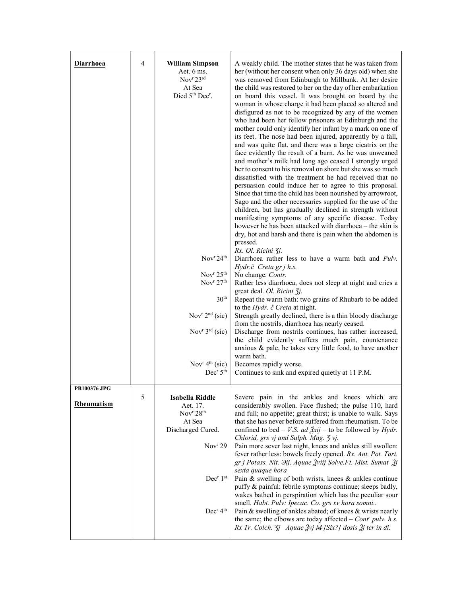| <b>Diarrhoea</b>                  | 4 | <b>William Simpson</b><br>Aet. 6 ms.<br>Nov <sup>r</sup> 23 <sup>rd</sup><br>At Sea<br>Died 5th Dec <sup>r</sup> .<br>Nov <sup>r</sup> 24 <sup>th</sup><br>Nov <sup>r</sup> $25th$<br>Nov $r$ 27 <sup>th</sup><br>30 <sup>th</sup><br>Nov <sup>r</sup> $2nd$ (sic)<br>Nov <sup>r</sup> $3rd$ (sic)<br>Nov <sup>r</sup> $4th$ (sic)<br>Dec <sup>r</sup> 5 <sup>th</sup> | A weakly child. The mother states that he was taken from<br>her (without her consent when only 36 days old) when she<br>was removed from Edinburgh to Millbank. At her desire<br>the child was restored to her on the day of her embarkation<br>on board this vessel. It was brought on board by the<br>woman in whose charge it had been placed so altered and<br>disfigured as not to be recognized by any of the women<br>who had been her fellow prisoners at Edinburgh and the<br>mother could only identify her infant by a mark on one of<br>its feet. The nose had been injured, apparently by a fall,<br>and was quite flat, and there was a large cicatrix on the<br>face evidently the result of a burn. As he was unweaned<br>and mother's milk had long ago ceased I strongly urged<br>her to consent to his removal on shore but she was so much<br>dissatisfied with the treatment he had received that no<br>persuasion could induce her to agree to this proposal.<br>Since that time the child has been nourished by arrowroot,<br>Sago and the other necessaries supplied for the use of the<br>children, but has gradually declined in strength without<br>manifesting symptoms of any specific disease. Today<br>however he has been attacked with diarrhoea - the skin is<br>dry, hot and harsh and there is pain when the abdomen is<br>pressed.<br>Rx. Ol. Ricini 3j.<br>Diarrhoea rather less to have a warm bath and Pulv.<br>Hydr.č Creta gr j h.s.<br>No change. Contr.<br>Rather less diarrhoea, does not sleep at night and cries a<br>great deal. Ol. Ricini 3j.<br>Repeat the warm bath: two grains of Rhubarb to be added<br>to the <i>Hydr.</i> č Creta at night.<br>Strength greatly declined, there is a thin bloody discharge<br>from the nostrils, diarrhoea has nearly ceased.<br>Discharge from nostrils continues, has rather increased,<br>the child evidently suffers much pain, countenance<br>anxious & pale, he takes very little food, to have another<br>warm bath.<br>Becomes rapidly worse.<br>Continues to sink and expired quietly at 11 P.M. |
|-----------------------------------|---|------------------------------------------------------------------------------------------------------------------------------------------------------------------------------------------------------------------------------------------------------------------------------------------------------------------------------------------------------------------------|---------------------------------------------------------------------------------------------------------------------------------------------------------------------------------------------------------------------------------------------------------------------------------------------------------------------------------------------------------------------------------------------------------------------------------------------------------------------------------------------------------------------------------------------------------------------------------------------------------------------------------------------------------------------------------------------------------------------------------------------------------------------------------------------------------------------------------------------------------------------------------------------------------------------------------------------------------------------------------------------------------------------------------------------------------------------------------------------------------------------------------------------------------------------------------------------------------------------------------------------------------------------------------------------------------------------------------------------------------------------------------------------------------------------------------------------------------------------------------------------------------------------------------------------------------------------------------------------------------------------------------------------------------------------------------------------------------------------------------------------------------------------------------------------------------------------------------------------------------------------------------------------------------------------------------------------------------------------------------------------------------------------------------------------------------------------------------------------------|
| PB100376 JPG<br><b>Rheumatism</b> | 5 | Isabella Riddle<br>Aet. 17.<br>Nov <sup>r</sup> 28 <sup>th</sup><br>At Sea<br>Discharged Cured.<br>Nov <sup>r</sup> 29<br>Dec <sup>r</sup> 1 <sup>st</sup><br>Dec <sup>r</sup> 4 <sup>th</sup>                                                                                                                                                                         | Severe pain in the ankles and knees which are<br>considerably swollen. Face flushed; the pulse 110, hard<br>and full; no appetite; great thirst; is unable to walk. Says<br>that she has never before suffered from rheumatism. To be<br>confined to bed – <i>V.S. ad <math>\frac{3}{2}</math>xij</i> – to be followed by <i>Hydr.</i><br>Chlorid, grs vj and Sulph. Mag. 3 vj.<br>Pain more sever last night, knees and ankles still swollen:<br>fever rather less: bowels freely opened. Rx. Ant. Pot. Tart.<br>gr j Potass. Nit. Dij. Aquae Žviij Solve. Ft. Mist. Sumat Žj<br>sexta quaque hora<br>Pain & swelling of both wrists, knees & ankles continue<br>puffy & painful: febrile symptoms continue; sleeps badly,<br>wakes bathed in perspiration which has the peculiar sour<br>smell. Habt. Pulv: Ipecac. Co. grs xv hora somni<br>Pain & swelling of ankles abated; of knees & wrists nearly<br>the same; the elbows are today affected $-$ Cont' pulv. h.s.<br>Rx Tr. Colch. 3j Aquae $\tilde{g}$ vj M [Six?] dosis $\tilde{g}$ j ter in di.                                                                                                                                                                                                                                                                                                                                                                                                                                                                                                                                                                                                                                                                                                                                                                                                                                                                                                                                                                                                                                        |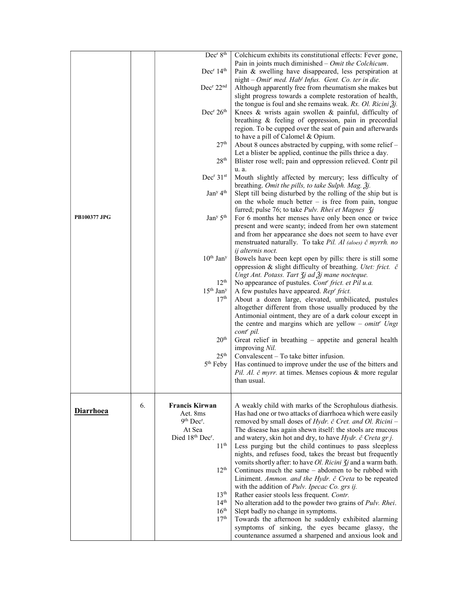|                     |    | Dec <sup>r</sup> 8 <sup>th</sup><br>Dec <sup>r</sup> 14 <sup>th</sup>                                           | Colchicum exhibits its constitutional effects: Fever gone,<br>Pain in joints much diminished $-$ <i>Omit the Colchicum</i> .<br>Pain & swelling have disappeared, less perspiration at                                                                                                                                                                  |
|---------------------|----|-----------------------------------------------------------------------------------------------------------------|---------------------------------------------------------------------------------------------------------------------------------------------------------------------------------------------------------------------------------------------------------------------------------------------------------------------------------------------------------|
|                     |    | Dec <sup>r</sup> 22 <sup>nd</sup>                                                                               | night - Omit' med. Hab' Infus. Gent. Co. ter in die.<br>Although apparently free from rheumatism she makes but                                                                                                                                                                                                                                          |
|                     |    | Dec <sup>r</sup> 26 <sup>th</sup>                                                                               | slight progress towards a complete restoration of health,<br>the tongue is foul and she remains weak. Rx. Ol. Ricini $\tilde{A}$ .<br>Knees & wrists again swollen & painful, difficulty of<br>breathing & feeling of oppression, pain in precordial<br>region. To be cupped over the seat of pain and afterwards<br>to have a pill of Calomel & Opium. |
|                     |    | 27 <sup>th</sup><br>28 <sup>th</sup>                                                                            | About 8 ounces abstracted by cupping, with some relief -<br>Let a blister be applied, continue the pills thrice a day.<br>Blister rose well; pain and oppression relieved. Contr pil                                                                                                                                                                    |
|                     |    | Dec <sup>r</sup> 31 <sup>st</sup>                                                                               | u. a.<br>Mouth slightly affected by mercury; less difficulty of                                                                                                                                                                                                                                                                                         |
|                     |    | Jan <sup>y</sup> 4 <sup>th</sup>                                                                                | breathing. Omit the pills, to take Sulph. Mag. 3j.<br>Slept till being disturbed by the rolling of the ship but is<br>on the whole much better $-$ is free from pain, tongue                                                                                                                                                                            |
| <b>PB100377 JPG</b> |    | Jan <sup>y</sup> 5 <sup>th</sup>                                                                                | furred; pulse 76; to take Pulv. Rhei et Magnes 3j<br>For 6 months her menses have only been once or twice<br>present and were scanty; indeed from her own statement<br>and from her appearance she does not seem to have ever<br>menstruated naturally. To take Pil. Al (aloes) č myrrh. no<br>ij alternis noct.                                        |
|                     |    | $10^{\rm th}$ Jan <sup>y</sup>                                                                                  | Bowels have been kept open by pills: there is still some<br>oppression & slight difficulty of breathing. Utet: frict. č<br>Ungt Ant. Potass. Tart $\zeta$ j ad $\zeta$ j mane nocteque.                                                                                                                                                                 |
|                     |    | 12 <sup>th</sup><br>$15th$ Jan <sup>y</sup>                                                                     | No appearance of pustules. Cont <sup>r</sup> frict. et Pil u.a.<br>A few pustules have appeared. Rep' frict.                                                                                                                                                                                                                                            |
|                     |    | 17 <sup>th</sup>                                                                                                | About a dozen large, elevated, umbilicated, pustules<br>altogether different from those usually produced by the<br>Antimonial ointment, they are of a dark colour except in<br>the centre and margins which are yellow – omitt <sup>r</sup> Ungt                                                                                                        |
|                     |    | $20^{\rm th}$                                                                                                   | cont <sup>r</sup> pil.<br>Great relief in breathing - appetite and general health<br>improving Nil.                                                                                                                                                                                                                                                     |
|                     |    | 25 <sup>th</sup><br>5 <sup>th</sup> Feby                                                                        | Convalescent – To take bitter infusion.<br>Has continued to improve under the use of the bitters and<br>Pil. Al. č myrr. at times. Menses copious & more regular<br>than usual.                                                                                                                                                                         |
| <b>Diarrhoea</b>    | 6. | <b>Francis Kirwan</b><br>Aet. 8ms<br>$9th Decr$ .<br>At Sea<br>Died 18th Dec <sup>r</sup> .<br>11 <sup>th</sup> | A weakly child with marks of the Scrophulous diathesis.<br>Has had one or two attacks of diarrhoea which were easily<br>removed by small doses of Hydr. č Cret. and Ol. Ricini -<br>The disease has again shewn itself: the stools are mucous<br>and watery, skin hot and dry, to have Hydr. č Creta gr j.                                              |
|                     |    | 12 <sup>th</sup>                                                                                                | Less purging but the child continues to pass sleepless<br>nights, and refuses food, takes the breast but frequently<br>vomits shortly after: to have <i>Ol. Ricini</i> $\overline{\chi}$ <i>j</i> and a warm bath.<br>Continues much the same – abdomen to be rubbed with<br>Liniment. Ammon. and the Hydr. č Creta to be repeated                      |
|                     |    | 13 <sup>th</sup>                                                                                                | with the addition of Pulv. Ipecac Co. grs ij.<br>Rather easier stools less frequent. Contr.                                                                                                                                                                                                                                                             |
|                     |    | 14 <sup>th</sup>                                                                                                | No alteration add to the powder two grains of Pulv. Rhei.                                                                                                                                                                                                                                                                                               |
|                     |    | 16 <sup>th</sup><br>17 <sup>th</sup>                                                                            | Slept badly no change in symptoms.<br>Towards the afternoon he suddenly exhibited alarming                                                                                                                                                                                                                                                              |
|                     |    |                                                                                                                 | symptoms of sinking, the eyes became glassy, the<br>countenance assumed a sharpened and anxious look and                                                                                                                                                                                                                                                |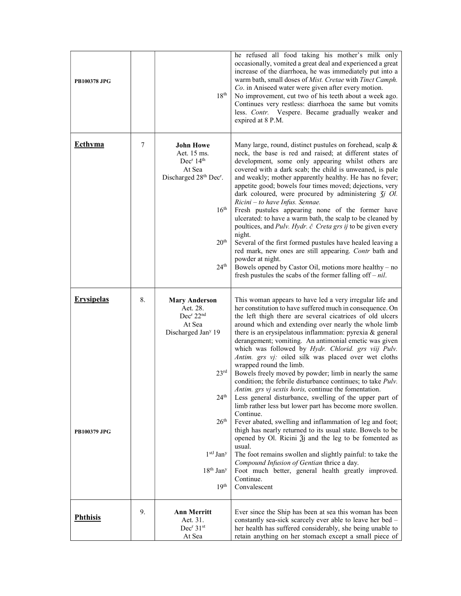| <b>PB100378 JPG</b>                      |    | 18 <sup>th</sup>                                                                                                                                                                                                                                        | he refused all food taking his mother's milk only<br>occasionally, vomited a great deal and experienced a great<br>increase of the diarrhoea, he was immediately put into a<br>warm bath, small doses of Mist. Cretae with Tinct Camph.<br>Co. in Aniseed water were given after every motion.<br>No improvement, cut two of his teeth about a week ago.<br>Continues very restless: diarrhoea the same but vomits<br>less. Contr. Vespere. Became gradually weaker and<br>expired at 8 P.M.                                                                                                                                                                                                                                                                                                                                                                                                                                                                                                                                                                                                                                                                                                                                             |
|------------------------------------------|----|---------------------------------------------------------------------------------------------------------------------------------------------------------------------------------------------------------------------------------------------------------|------------------------------------------------------------------------------------------------------------------------------------------------------------------------------------------------------------------------------------------------------------------------------------------------------------------------------------------------------------------------------------------------------------------------------------------------------------------------------------------------------------------------------------------------------------------------------------------------------------------------------------------------------------------------------------------------------------------------------------------------------------------------------------------------------------------------------------------------------------------------------------------------------------------------------------------------------------------------------------------------------------------------------------------------------------------------------------------------------------------------------------------------------------------------------------------------------------------------------------------|
| <b>Ecthyma</b>                           | 7  | <b>John Howe</b><br>Aet. 15 ms.<br>Dec <sup>r</sup> 14 <sup>th</sup><br>At Sea<br>Discharged 28th Dec <sup>r</sup> .<br>16 <sup>th</sup><br>20 <sup>th</sup><br>24 <sup>th</sup>                                                                        | Many large, round, distinct pustules on forehead, scalp &<br>neck, the base is red and raised; at different states of<br>development, some only appearing whilst others are<br>covered with a dark scab; the child is unweaned, is pale<br>and weakly; mother apparently healthy. He has no fever;<br>appetite good; bowels four times moved; dejections, very<br>dark coloured, were procured by administering $\zeta j$ Ol.<br>Ricini - to have Infus. Sennae.<br>Fresh pustules appearing none of the former have<br>ulcerated: to have a warm bath, the scalp to be cleaned by<br>poultices, and Pulv. Hydr. č Creta grs ij to be given every<br>night.<br>Several of the first formed pustules have healed leaving a<br>red mark, new ones are still appearing. Contr bath and<br>powder at night.<br>Bowels opened by Castor Oil, motions more healthy - no<br>fresh pustules the scabs of the former falling of $f - nil$ .                                                                                                                                                                                                                                                                                                       |
| <b>Erysipelas</b><br><b>PB100379 JPG</b> | 8. | <b>Mary Anderson</b><br>Aet. 28.<br>Dec <sup>r</sup> 22 <sup>nd</sup><br>At Sea<br>Discharged Jan <sup>y</sup> 19<br>23 <sup>rd</sup><br>24 <sup>th</sup><br>26 <sup>th</sup><br>$1stJ$ Jan <sup>y</sup><br>$18th$ Jan <sup>y</sup><br>19 <sup>th</sup> | This woman appears to have led a very irregular life and<br>her constitution to have suffered much in consequence. On<br>the left thigh there are several cicatrices of old ulcers<br>around which and extending over nearly the whole limb<br>there is an erysipelatous inflammation: pyrexia & general<br>derangement; vomiting. An antimonial emetic was given<br>which was followed by Hydr. Chlorid. grs viij Pulv.<br>Antim. grs vj: oiled silk was placed over wet cloths<br>wrapped round the limb.<br>Bowels freely moved by powder; limb in nearly the same<br>condition; the febrile disturbance continues; to take Pulv.<br>Antim. grs vj sextis horis, continue the fomentation.<br>Less general disturbance, swelling of the upper part of<br>limb rather less but lower part has become more swollen.<br>Continue.<br>Fever abated, swelling and inflammation of leg and foot;<br>thigh has nearly returned to its usual state. Bowels to be<br>opened by Ol. Ricini $\tilde{z}$ j and the leg to be fomented as<br>usual.<br>The foot remains swollen and slightly painful: to take the<br>Compound Infusion of Gentian thrice a day.<br>Foot much better, general health greatly improved.<br>Continue.<br>Convalescent |
| <b>Phthisis</b>                          | 9. | <b>Ann Merritt</b><br>Aet. 31.<br>Dec <sup>r</sup> 31 <sup>st</sup><br>At Sea                                                                                                                                                                           | Ever since the Ship has been at sea this woman has been<br>constantly sea-sick scarcely ever able to leave her bed -<br>her health has suffered considerably, she being unable to<br>retain anything on her stomach except a small piece of                                                                                                                                                                                                                                                                                                                                                                                                                                                                                                                                                                                                                                                                                                                                                                                                                                                                                                                                                                                              |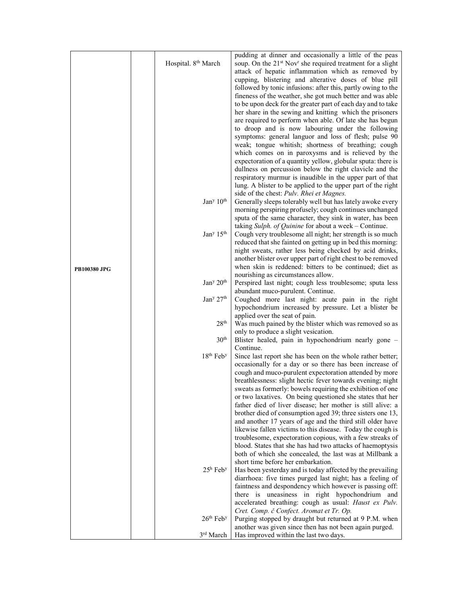|                     | Hospital. 8 <sup>th</sup> March   | pudding at dinner and occasionally a little of the peas<br>soup. On the 21 <sup>st</sup> Nov <sup>r</sup> she required treatment for a slight<br>attack of hepatic inflammation which as removed by<br>cupping, blistering and alterative doses of blue pill<br>followed by tonic infusions: after this, partly owing to the<br>fineness of the weather, she got much better and was able<br>to be upon deck for the greater part of each day and to take |
|---------------------|-----------------------------------|-----------------------------------------------------------------------------------------------------------------------------------------------------------------------------------------------------------------------------------------------------------------------------------------------------------------------------------------------------------------------------------------------------------------------------------------------------------|
|                     |                                   | her share in the sewing and knitting which the prisoners<br>are required to perform when able. Of late she has begun                                                                                                                                                                                                                                                                                                                                      |
|                     |                                   | to droop and is now labouring under the following                                                                                                                                                                                                                                                                                                                                                                                                         |
|                     |                                   | symptoms: general languor and loss of flesh; pulse 90<br>weak; tongue whitish; shortness of breathing; cough<br>which comes on in paroxysms and is relieved by the                                                                                                                                                                                                                                                                                        |
|                     |                                   | expectoration of a quantity yellow, globular sputa: there is<br>dullness on percussion below the right clavicle and the                                                                                                                                                                                                                                                                                                                                   |
|                     |                                   | respiratory murmur is inaudible in the upper part of that                                                                                                                                                                                                                                                                                                                                                                                                 |
|                     |                                   | lung. A blister to be applied to the upper part of the right<br>side of the chest: Pulv. Rhei et Magnes.                                                                                                                                                                                                                                                                                                                                                  |
|                     | Jan <sup>y</sup> $10th$           | Generally sleeps tolerably well but has lately awoke every                                                                                                                                                                                                                                                                                                                                                                                                |
|                     |                                   | morning perspiring profusely; cough continues unchanged                                                                                                                                                                                                                                                                                                                                                                                                   |
|                     |                                   | sputa of the same character, they sink in water, has been<br>taking Sulph. of Quinine for about a week - Continue.                                                                                                                                                                                                                                                                                                                                        |
|                     | Jan <sup>y</sup> 15 <sup>th</sup> | Cough very troublesome all night; her strength is so much<br>reduced that she fainted on getting up in bed this morning:                                                                                                                                                                                                                                                                                                                                  |
|                     |                                   | night sweats, rather less being checked by acid drinks,<br>another blister over upper part of right chest to be removed                                                                                                                                                                                                                                                                                                                                   |
| <b>PB100380 JPG</b> |                                   | when skin is reddened: bitters to be continued; diet as                                                                                                                                                                                                                                                                                                                                                                                                   |
|                     |                                   | nourishing as circumstances allow.                                                                                                                                                                                                                                                                                                                                                                                                                        |
|                     | Jan <sup>y</sup> 20 <sup>th</sup> | Perspired last night; cough less troublesome; sputa less<br>abundant muco-purulent. Continue.                                                                                                                                                                                                                                                                                                                                                             |
|                     | Jan <sup>y</sup> 27 <sup>th</sup> | Coughed more last night: acute pain in the right                                                                                                                                                                                                                                                                                                                                                                                                          |
|                     |                                   | hypochondrium increased by pressure. Let a blister be<br>applied over the seat of pain.                                                                                                                                                                                                                                                                                                                                                                   |
|                     | 28 <sup>th</sup>                  | Was much pained by the blister which was removed so as                                                                                                                                                                                                                                                                                                                                                                                                    |
|                     | 30 <sup>th</sup>                  | only to produce a slight vesication.                                                                                                                                                                                                                                                                                                                                                                                                                      |
|                     |                                   | Blister healed, pain in hypochondrium nearly gone -<br>Continue.                                                                                                                                                                                                                                                                                                                                                                                          |
|                     | 18 <sup>th</sup> Feb <sup>y</sup> | Since last report she has been on the whole rather better;                                                                                                                                                                                                                                                                                                                                                                                                |
|                     |                                   | occasionally for a day or so there has been increase of<br>cough and muco-purulent expectoration attended by more                                                                                                                                                                                                                                                                                                                                         |
|                     |                                   | breathlessness: slight hectic fever towards evening; night                                                                                                                                                                                                                                                                                                                                                                                                |
|                     |                                   | sweats as formerly: bowels requiring the exhibition of one                                                                                                                                                                                                                                                                                                                                                                                                |
|                     |                                   | or two laxatives. On being questioned she states that her<br>father died of liver disease; her mother is still alive: a                                                                                                                                                                                                                                                                                                                                   |
|                     |                                   | brother died of consumption aged 39; three sisters one 13,                                                                                                                                                                                                                                                                                                                                                                                                |
|                     |                                   | and another 17 years of age and the third still older have<br>likewise fallen victims to this disease. Today the cough is                                                                                                                                                                                                                                                                                                                                 |
|                     |                                   | troublesome, expectoration copious, with a few streaks of                                                                                                                                                                                                                                                                                                                                                                                                 |
|                     |                                   | blood. States that she has had two attacks of haemoptysis                                                                                                                                                                                                                                                                                                                                                                                                 |
|                     |                                   | both of which she concealed, the last was at Millbank a<br>short time before her embarkation.                                                                                                                                                                                                                                                                                                                                                             |
|                     | $25^{\rm h}$ Feb <sup>y</sup>     | Has been yesterday and is today affected by the prevailing                                                                                                                                                                                                                                                                                                                                                                                                |
|                     |                                   | diarrhoea: five times purged last night; has a feeling of<br>faintness and despondency which however is passing off:                                                                                                                                                                                                                                                                                                                                      |
|                     |                                   | there is uneasiness in right hypochondrium and                                                                                                                                                                                                                                                                                                                                                                                                            |
|                     |                                   | accelerated breathing: cough as usual: Haust ex Pulv.                                                                                                                                                                                                                                                                                                                                                                                                     |
|                     | $26th$ Feb <sup>y</sup>           | Cret. Comp. č Confect. Aromat et Tr. Op.<br>Purging stopped by draught but returned at 9 P.M. when                                                                                                                                                                                                                                                                                                                                                        |
|                     |                                   | another was given since then has not been again purged.                                                                                                                                                                                                                                                                                                                                                                                                   |
|                     | 3 <sup>rd</sup> March             | Has improved within the last two days.                                                                                                                                                                                                                                                                                                                                                                                                                    |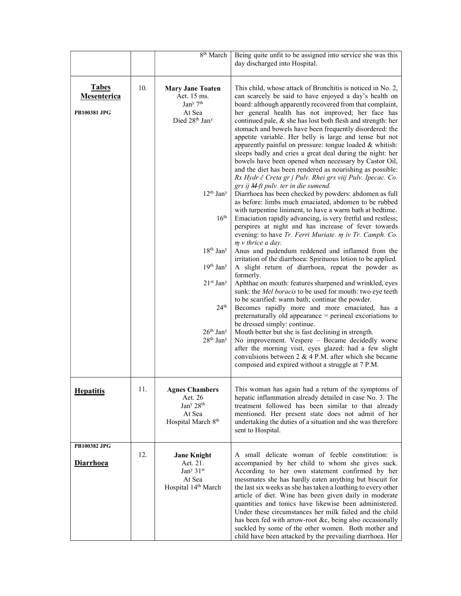|                                                    |     | 8 <sup>th</sup> March                                                                                                                                                                                                                                                                                             | Being quite unfit to be assigned into service she was this<br>day discharged into Hospital.                                                                                                                                                                                                                                                                                                                                                                                                                                                                                                                                                                                                                                                                                                                                                                                                                                                                                                                                                                                                                                                                                                                                                                                                                                                                                                                                                                                                                                                                                                                                                                                                                                                                                                                                                                                                                                                                                      |
|----------------------------------------------------|-----|-------------------------------------------------------------------------------------------------------------------------------------------------------------------------------------------------------------------------------------------------------------------------------------------------------------------|----------------------------------------------------------------------------------------------------------------------------------------------------------------------------------------------------------------------------------------------------------------------------------------------------------------------------------------------------------------------------------------------------------------------------------------------------------------------------------------------------------------------------------------------------------------------------------------------------------------------------------------------------------------------------------------------------------------------------------------------------------------------------------------------------------------------------------------------------------------------------------------------------------------------------------------------------------------------------------------------------------------------------------------------------------------------------------------------------------------------------------------------------------------------------------------------------------------------------------------------------------------------------------------------------------------------------------------------------------------------------------------------------------------------------------------------------------------------------------------------------------------------------------------------------------------------------------------------------------------------------------------------------------------------------------------------------------------------------------------------------------------------------------------------------------------------------------------------------------------------------------------------------------------------------------------------------------------------------------|
| <b>Tabes</b><br>Mesenterica<br><b>PB100381 JPG</b> | 10. | <b>Mary Jane Toaten</b><br>Aet. 15 ms.<br>Jan <sup>y</sup> 7 <sup>th</sup><br>At Sea<br>Died 28th Jan <sup>y</sup><br>$12^{th}$ Jan <sup>y</sup><br>16 <sup>th</sup><br>$18th$ Jan <sup>y</sup><br>$19th$ Jan <sup>y</sup><br>21st Jany<br>24 <sup>th</sup><br>$26th$ Jan <sup>y</sup><br>$28th$ Jan <sup>y</sup> | This child, whose attack of Bronchitis is noticed in No. 2,<br>can scarcely be said to have enjoyed a day's health on<br>board: although apparently recovered from that complaint,<br>her general health has not improved; her face has<br>continued pale, & she has lost both flesh and strength: her<br>stomach and bowels have been frequently disordered: the<br>appetite variable. Her belly is large and tense but not<br>apparently painful on pressure: tongue loaded & whitish:<br>sleeps badly and cries a great deal during the night: her<br>bowels have been opened when necessary by Castor Oil,<br>and the diet has been rendered as nourishing as possible:<br>Rx Hydr č Creta gr j Pulv. Rhei grs viij Pulv. Ipecac. Co.<br>grs ij M-ft pulv. ter in die sumend.<br>Diarrhoea has been checked by powders: abdomen as full<br>as before: limbs much emaciated, abdomen to be rubbed<br>with turpentine liniment, to have a warm bath at bedtime.<br>Emaciation rapidly advancing, is very fretful and restless;<br>perspires at night and has increase of fever towards<br>evening: to have Tr. Ferri Muriate. m iv Tr. Camph. Co.<br>$m$ v thrice a day.<br>Anus and pudendum reddened and inflamed from the<br>irritation of the diarrhoea: Spirituous lotion to be applied.<br>A slight return of diarrhoea, repeat the powder as<br>formerly.<br>Aphthae on mouth: features sharpened and wrinkled, eyes<br>sunk: the Mel boracis to be used for mouth: two eye teeth<br>to be scarified: warm bath; continue the powder.<br>Becomes rapidly more and more emaciated, has a<br>preternaturally old appearance = perineal excoriations to<br>be dressed simply: continue.<br>Mouth better but she is fast declining in strength.<br>No improvement. Vespere - Became decidedly worse<br>after the morning visit, eyes glazed: had a few slight<br>convulsions between 2 & 4 P.M. after which she became<br>composed and expired without a struggle at 7 P.M. |
| <b>Hepatitis</b>                                   | 11. | <b>Agnes Chambers</b><br>Aet. 26<br>Jan <sup>y</sup> 28 <sup>th</sup><br>At Sea<br>Hospital March 8th                                                                                                                                                                                                             | This woman has again had a return of the symptoms of<br>hepatic inflammation already detailed in case No. 3. The<br>treatment followed has been similar to that already<br>mentioned. Her present state does not admit of her<br>undertaking the duties of a situation and she was therefore<br>sent to Hospital.                                                                                                                                                                                                                                                                                                                                                                                                                                                                                                                                                                                                                                                                                                                                                                                                                                                                                                                                                                                                                                                                                                                                                                                                                                                                                                                                                                                                                                                                                                                                                                                                                                                                |
| PB100382 JPG<br><b>Diarrhoea</b>                   | 12. | <b>Jane Knight</b><br>Aet. 21.<br>Jan <sup>y</sup> 31 <sup>st</sup><br>At Sea<br>Hospital 14th March                                                                                                                                                                                                              | A small delicate woman of feeble constitution: is<br>accompanied by her child to whom she gives suck.<br>According to her own statement confirmed by her<br>messmates she has hardly eaten anything but biscuit for<br>the last six weeks as she has taken a loathing to every other<br>article of diet. Wine has been given daily in moderate<br>quantities and tonics have likewise been administered.<br>Under these circumstances her milk failed and the child<br>has been fed with arrow-root &c, being also occasionally<br>suckled by some of the other women. Both mother and<br>child have been attacked by the prevailing diarrhoea. Her                                                                                                                                                                                                                                                                                                                                                                                                                                                                                                                                                                                                                                                                                                                                                                                                                                                                                                                                                                                                                                                                                                                                                                                                                                                                                                                              |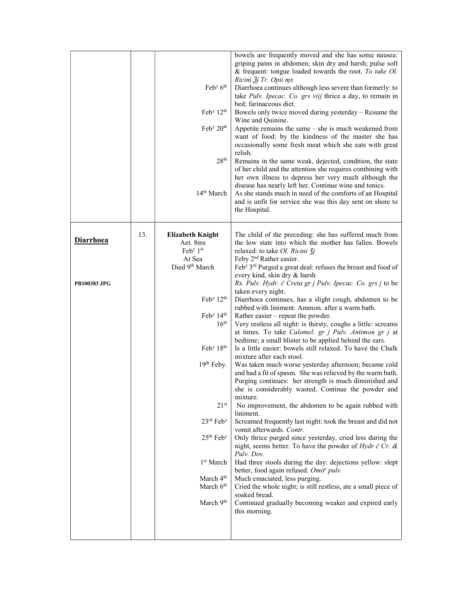|                     |     | Feb <sup>y</sup> 6 <sup>th</sup><br>Feb <sup>y</sup> $12th$<br>Feb <sup>y</sup> 20 <sup>th</sup><br>28 <sup>th</sup><br>14 <sup>th</sup> March | bowels are frequently moved and she has some nausea:<br>griping pains in abdomen; skin dry and harsh; pulse soft<br>& frequent: tongue loaded towards the root. To take Ol.<br>Ricini $3j$ Tr. Opii mx<br>Diarrhoea continues although less severe than formerly: to<br>take Pulv. Ipecac. Co. grs viij thrice a day, to remain in<br>bed; farinaceous diet.<br>Bowels only twice moved during yesterday - Resume the<br>Wine and Quinine.<br>Appetite remains the same - she is much weakened from<br>want of food: by the kindness of the master she has<br>occasionally some fresh meat which she eats with great<br>relish.<br>Remains in the same weak, dejected, condition, the state<br>of her child and the attention she requires combining with<br>her own illness to depress her very much although the<br>disease has nearly left her. Continue wine and tonics.<br>As she stands much in need of the comforts of an Hospital<br>and is unfit for service she was this day sent on shore to<br>the Hospital. |
|---------------------|-----|------------------------------------------------------------------------------------------------------------------------------------------------|--------------------------------------------------------------------------------------------------------------------------------------------------------------------------------------------------------------------------------------------------------------------------------------------------------------------------------------------------------------------------------------------------------------------------------------------------------------------------------------------------------------------------------------------------------------------------------------------------------------------------------------------------------------------------------------------------------------------------------------------------------------------------------------------------------------------------------------------------------------------------------------------------------------------------------------------------------------------------------------------------------------------------|
| <b>Diarrhoea</b>    | 13. | <b>Elizabeth Knight</b><br>Aet. 8ms<br>${\rm Feb}^{\rm y}$ 1 <sup>st</sup><br>At Sea                                                           | The child of the preceding: she has suffered much from<br>the low state into which the mother has fallen. Bowels<br>relaxed: to take Ol. Ricini 3i<br>Feby 2 <sup>nd</sup> Rather easier.                                                                                                                                                                                                                                                                                                                                                                                                                                                                                                                                                                                                                                                                                                                                                                                                                                |
| <b>PB100383 JPG</b> |     | Died 9th March                                                                                                                                 | Feb <sup>y</sup> 3 <sup>rd</sup> Purged a great deal: refuses the breast and food of<br>every kind, skin dry & harsh<br>Rx. Pulv. Hydr. č Creta gr j Pulv. Ipecac. Co. grs j to be<br>taken every night.                                                                                                                                                                                                                                                                                                                                                                                                                                                                                                                                                                                                                                                                                                                                                                                                                 |
|                     |     | Feb <sup>y</sup> $12th$<br>Feb <sup>y</sup> 14 <sup>th</sup><br>16 <sup>th</sup>                                                               | Diarrhoea continues, has a slight cough, abdomen to be<br>rubbed with liniment. Ammon. after a warm bath.<br>Rather easier – repeat the powder.<br>Very restless all night: is thirsty, coughs a little: screams<br>at times. To take Calomel. gr j Pulv. Antimon gr j at                                                                                                                                                                                                                                                                                                                                                                                                                                                                                                                                                                                                                                                                                                                                                |
|                     |     | Feb <sup>y</sup> 18 <sup>th</sup>                                                                                                              | bedtime; a small blister to be applied behind the ears.<br>Is a little easier: bowels still relaxed. To have the Chalk<br>mixture after each stool.                                                                                                                                                                                                                                                                                                                                                                                                                                                                                                                                                                                                                                                                                                                                                                                                                                                                      |
|                     |     | $19th$ Feby.                                                                                                                                   | Was taken much worse yesterday afternoon; became cold<br>and had a fit of spasm. She was relieved by the warm bath.<br>Purging continues: her strength is much diminished and<br>she is considerably wasted. Continue the powder and                                                                                                                                                                                                                                                                                                                                                                                                                                                                                                                                                                                                                                                                                                                                                                                     |
|                     |     | 21 <sup>st</sup>                                                                                                                               | mixture.<br>No improvement, the abdomen to be again rubbed with<br>liniment.                                                                                                                                                                                                                                                                                                                                                                                                                                                                                                                                                                                                                                                                                                                                                                                                                                                                                                                                             |
|                     |     | $23rd$ Feb <sup>y</sup><br>$25^{\rm th}$ Feb <sup>y</sup>                                                                                      | Screamed frequently last night: took the breast and did not<br>vomit afterwards. Contr.<br>Only thrice purged since yesterday, cried less during the                                                                                                                                                                                                                                                                                                                                                                                                                                                                                                                                                                                                                                                                                                                                                                                                                                                                     |
|                     |     | 1 <sup>st</sup> March                                                                                                                          | night, seems better. To have the powder of Hydr $\check{c}$ Cr. &<br>Pulv. Dov.<br>Had three stools during the day: dejections yellow: slept                                                                                                                                                                                                                                                                                                                                                                                                                                                                                                                                                                                                                                                                                                                                                                                                                                                                             |
|                     |     | March 4 <sup>th</sup><br>March 6 <sup>th</sup>                                                                                                 | better, food again refused. Omit' pulv.<br>Much emaciated, less purging.<br>Cried the whole night; is still restless, ate a small piece of                                                                                                                                                                                                                                                                                                                                                                                                                                                                                                                                                                                                                                                                                                                                                                                                                                                                               |
|                     |     | March 9 <sup>th</sup>                                                                                                                          | soaked bread.<br>Continued gradually becoming weaker and expired early<br>this morning.                                                                                                                                                                                                                                                                                                                                                                                                                                                                                                                                                                                                                                                                                                                                                                                                                                                                                                                                  |
|                     |     |                                                                                                                                                |                                                                                                                                                                                                                                                                                                                                                                                                                                                                                                                                                                                                                                                                                                                                                                                                                                                                                                                                                                                                                          |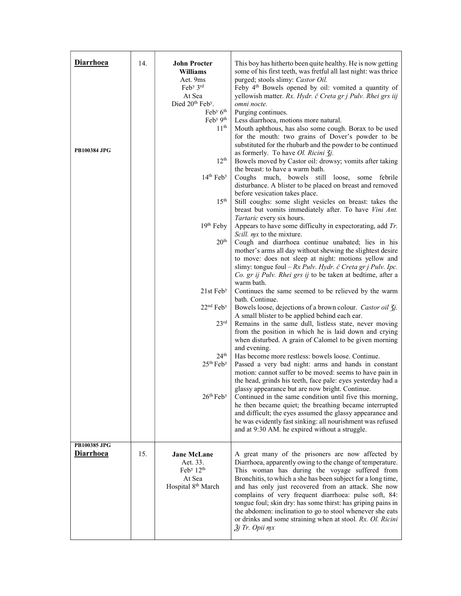| <b>Diarrhoea</b>                 | 14. | <b>John Procter</b><br>Williams<br>Aet. 9ms<br>Feb <sup>y</sup> 3rd<br>At Sea<br>Died 20 <sup>th</sup> Feb <sup>y</sup> .<br>$\text{Feb}^{\text{y}} 6^{\text{th}}$ | This boy has hitherto been quite healthy. He is now getting<br>some of his first teeth, was fretful all last night: was thrice<br>purged; stools slimy: Castor Oil.<br>Feby 4 <sup>th</sup> Bowels opened by oil: vomited a quantity of<br>yellowish matter. Rx. Hydr. č Creta gr j Pulv. Rhei grs iij<br>omni nocte.<br>Purging continues.                                                                                                                                                                                                                              |
|----------------------------------|-----|--------------------------------------------------------------------------------------------------------------------------------------------------------------------|--------------------------------------------------------------------------------------------------------------------------------------------------------------------------------------------------------------------------------------------------------------------------------------------------------------------------------------------------------------------------------------------------------------------------------------------------------------------------------------------------------------------------------------------------------------------------|
| <b>PB100384 JPG</b>              |     | Feb <sup>y 9th</sup><br>11 <sup>th</sup><br>12 <sup>th</sup>                                                                                                       | Less diarrhoea, motions more natural.<br>Mouth aphthous, has also some cough. Borax to be used<br>for the mouth: two grains of Dover's powder to be<br>substituted for the rhubarb and the powder to be continued<br>as formerly. To have Ol. Ricini 3j.<br>Bowels moved by Castor oil: drowsy; vomits after taking<br>the breast: to have a warm bath.                                                                                                                                                                                                                  |
|                                  |     | 14 <sup>th</sup> Feb <sup>y</sup><br>15 <sup>th</sup>                                                                                                              | Coughs much, bowels still loose, some febrile<br>disturbance. A blister to be placed on breast and removed<br>before vesication takes place.<br>Still coughs: some slight vesicles on breast: takes the<br>breast but vomits immediately after. To have Vini Ant.                                                                                                                                                                                                                                                                                                        |
|                                  |     | 19th Feby<br>20 <sup>th</sup>                                                                                                                                      | Tartaric every six hours.<br>Appears to have some difficulty in expectorating, add $Tr$ .<br><i>Scill. mx</i> to the mixture.<br>Cough and diarrhoea continue unabated; lies in his<br>mother's arms all day without shewing the slightest desire<br>to move: does not sleep at night: motions yellow and<br>slimy: tongue foul – $Rx$ Pulv. Hydr. č Creta gr j Pulv. Ipc.<br>Co. gr ij Pulv. Rhei grs ij to be taken at bedtime, after a                                                                                                                                |
|                                  |     | 21st Feb <sup>y</sup>                                                                                                                                              | warm bath.<br>Continues the same seemed to be relieved by the warm                                                                                                                                                                                                                                                                                                                                                                                                                                                                                                       |
|                                  |     | $22nd$ Feb <sup>y</sup><br>23 <sup>rd</sup>                                                                                                                        | bath. Continue.<br>Bowels loose, dejections of a brown colour. Castor oil 3j.<br>A small blister to be applied behind each ear.<br>Remains in the same dull, listless state, never moving<br>from the position in which he is laid down and crying<br>when disturbed. A grain of Calomel to be given morning                                                                                                                                                                                                                                                             |
|                                  |     | 24 <sup>th</sup><br>25 <sup>th</sup> Feb <sup>y</sup>                                                                                                              | and evening.<br>Has become more restless: bowels loose. Continue.<br>Passed a very bad night: arms and hands in constant<br>motion: cannot suffer to be moved: seems to have pain in<br>the head, grinds his teeth, face pale: eyes yesterday had a<br>glassy appearance but are now bright. Continue.                                                                                                                                                                                                                                                                   |
|                                  |     | 26 <sup>th</sup> Feb <sup>y</sup>                                                                                                                                  | Continued in the same condition until five this morning,<br>he then became quiet; the breathing became interrupted<br>and difficult; the eyes assumed the glassy appearance and<br>he was evidently fast sinking: all nourishment was refused<br>and at 9:30 AM. he expired without a struggle.                                                                                                                                                                                                                                                                          |
| PB100385 JPG<br><b>Diarrhoea</b> | 15. | <b>Jane McLane</b><br>Aet. 33.<br>Feb <sup>y</sup> 12 <sup>th</sup><br>At Sea<br>Hospital 8 <sup>th</sup> March                                                    | A great many of the prisoners are now affected by<br>Diarrhoea, apparently owing to the change of temperature.<br>This woman has during the voyage suffered from<br>Bronchitis, to which a she has been subject for a long time,<br>and has only just recovered from an attack. She now<br>complains of very frequent diarrhoea: pulse soft, 84:<br>tongue foul; skin dry: has some thirst: has griping pains in<br>the abdomen: inclination to go to stool whenever she eats<br>or drinks and some straining when at stool. Rx. Ol. Ricini<br>$\tilde{g}$ j Tr. Opii mx |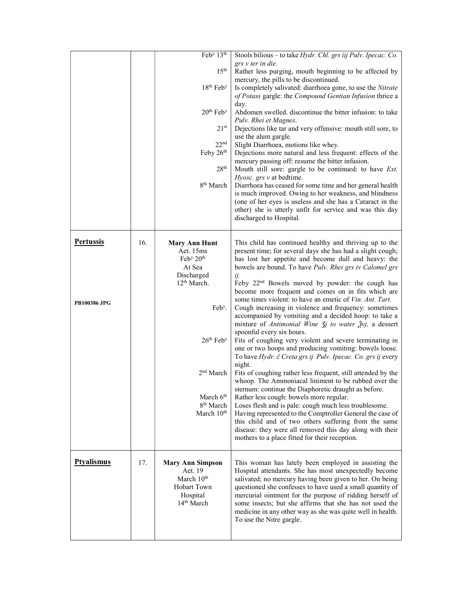|                     |     | Feb <sup>y</sup> 13 <sup>th</sup>  | Stools bilious - to take Hydr. Chl. grs iij Pulv. Ipecac. Co.                                                       |
|---------------------|-----|------------------------------------|---------------------------------------------------------------------------------------------------------------------|
|                     |     |                                    | grs v ter in die.                                                                                                   |
|                     |     | 15 <sup>th</sup>                   | Rather less purging, mouth beginning to be affected by                                                              |
|                     |     |                                    | mercury, the pills to be discontinued.                                                                              |
|                     |     | 18 <sup>th</sup> Feb <sup>y</sup>  | Is completely salivated: diarrhoea gone, to use the Nitrate                                                         |
|                     |     |                                    | of Potass gargle: the Compound Gentian Infusion thrice a                                                            |
|                     |     | 20 <sup>th</sup> Feb <sup>y</sup>  | day.<br>Abdomen swelled. discontinue the bitter infusion: to take                                                   |
|                     |     |                                    | Pulv. Rhei et Magnes.                                                                                               |
|                     |     | 21 <sup>st</sup>                   | Dejections like tar and very offensive: mouth still sore, to                                                        |
|                     |     |                                    | use the alum gargle.                                                                                                |
|                     |     | 22 <sup>nd</sup>                   | Slight Diarrhoea, motions like whey.                                                                                |
|                     |     | Feby 26th                          | Dejections more natural and less frequent: effects of the                                                           |
|                     |     |                                    | mercury passing off: resume the bitter infusion.                                                                    |
|                     |     | 28 <sup>th</sup>                   | Mouth still sore: gargle to be continued: to have Ext.                                                              |
|                     |     | 8 <sup>th</sup> March              | Hyosc. grs v at bedtime.                                                                                            |
|                     |     |                                    | Diarrhoea has ceased for some time and her general health<br>is much improved. Owing to her weakness, and blindness |
|                     |     |                                    | (one of her eyes is useless and she has a Cataract in the                                                           |
|                     |     |                                    | other) she is utterly unfit for service and was this day                                                            |
|                     |     |                                    | discharged to Hospital.                                                                                             |
|                     |     |                                    |                                                                                                                     |
| <b>Pertussis</b>    |     |                                    |                                                                                                                     |
|                     | 16. | <b>Mary Ann Hunt</b><br>Aet. 15ms  | This child has continued healthy and thriving up to the                                                             |
|                     |     | Feb <sup>y</sup> 20 <sup>th</sup>  | present time; for several days she has had a slight cough;<br>has lost her appetite and become dull and heavy: the  |
|                     |     | At Sea                             | bowels are bound. To have Pulv. Rhei grs iv Calomel grs                                                             |
|                     |     | Discharged                         | ij.                                                                                                                 |
|                     |     | 12 <sup>th</sup> March.            | Feby 22 <sup>nd</sup> Bowels moved by powder: the cough has                                                         |
|                     |     |                                    | become more frequent and comes on in fits which are                                                                 |
| <b>PB100386 JPG</b> |     |                                    | some times violent: to have an emetic of <i>Vin. Ant. Tart.</i>                                                     |
|                     |     | Feb <sup>y</sup> .                 | Cough increasing in violence and frequency: sometimes                                                               |
|                     |     |                                    | accompanied by vomiting and a decided hoop: to take a                                                               |
|                     |     |                                    |                                                                                                                     |
|                     |     |                                    | mixture of Antimonial Wine $\zeta j$ to water $\zeta y_j$ , a dessert                                               |
|                     |     |                                    | spoonful every six hours.                                                                                           |
|                     |     | 26 <sup>th</sup> Feb <sup>y</sup>  | Fits of coughing very violent and severe terminating in                                                             |
|                     |     |                                    | one or two hoops and producing vomiting: bowels loose.                                                              |
|                     |     |                                    | To have Hydr. č Creta grs ij Pulv. Ipecac. Co. grs ij every<br>night.                                               |
|                     |     | 2 <sup>nd</sup> March              | Fits of coughing rather less frequent, still attended by the                                                        |
|                     |     |                                    | whoop. The Ammoniacal liniment to be rubbed over the                                                                |
|                     |     |                                    | sternum: continue the Diaphoretic draught as before.                                                                |
|                     |     | March 6 <sup>th</sup>              | Rather less cough: bowels more regular.                                                                             |
|                     |     | 8 <sup>th</sup> March              | Loses flesh and is pale: cough much less troublesome.                                                               |
|                     |     | March 10 <sup>th</sup>             | Having represented to the Comptroller General the case of                                                           |
|                     |     |                                    | this child and of two others suffering from the same<br>disease: they were all removed this day along with their    |
|                     |     |                                    | mothers to a place fitted for their reception.                                                                      |
|                     |     |                                    |                                                                                                                     |
|                     |     |                                    |                                                                                                                     |
| <b>Ptyalismus</b>   | 17. | <b>Mary Ann Simpson</b><br>Aet. 19 | This woman has lately been employed in assisting the                                                                |
|                     |     | March 10 <sup>th</sup>             | Hospital attendants. She has most unexpectedly become<br>salivated; no mercury having been given to her. On being   |
|                     |     | Hobart Town                        | questioned she confesses to have used a small quantity of                                                           |
|                     |     | Hospital                           | mercurial ointment for the purpose of ridding herself of                                                            |
|                     |     | 14 <sup>th</sup> March             | some insects; but she affirms that she has not used the                                                             |
|                     |     |                                    | medicine in any other way as she was quite well in health.                                                          |
|                     |     |                                    | To use the Nitre gargle.                                                                                            |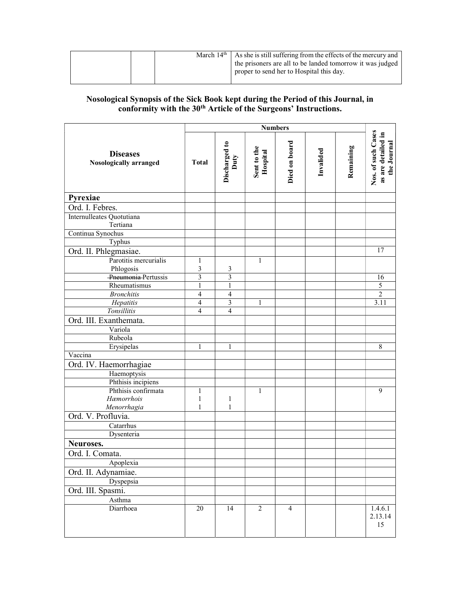|  |  | March $14th$   As she is still suffering from the effects of the mercury and<br>the prisoners are all to be landed tomorrow it was judged<br>proper to send her to Hospital this day. |
|--|--|---------------------------------------------------------------------------------------------------------------------------------------------------------------------------------------|
|--|--|---------------------------------------------------------------------------------------------------------------------------------------------------------------------------------------|

### Nosological Synopsis of the Sick Book kept during the Period of this Journal, in conformity with the 30<sup>th</sup> Article of the Surgeons' Instructions.

|                                                  | <b>Numbers</b>          |                         |                         |                |           |           |                                                         |
|--------------------------------------------------|-------------------------|-------------------------|-------------------------|----------------|-----------|-----------|---------------------------------------------------------|
| <b>Diseases</b><br><b>Nosologically arranged</b> | <b>Total</b>            | Discharged to<br>Duty   | Sent to the<br>Hospital | Died on board  | Invalided | Remaining | Nos. of such Cases<br>as are detailed in<br>the Journal |
| Pyrexiae                                         |                         |                         |                         |                |           |           |                                                         |
| Ord. I. Febres.                                  |                         |                         |                         |                |           |           |                                                         |
| Internulleates Quotutiana<br>Tertiana            |                         |                         |                         |                |           |           |                                                         |
| Continua Synochus                                |                         |                         |                         |                |           |           |                                                         |
| Typhus                                           |                         |                         |                         |                |           |           |                                                         |
| Ord. II. Phlegmasiae.                            |                         |                         |                         |                |           |           | $\overline{17}$                                         |
| Parotitis mercurialis                            | $\mathbf{1}$            |                         | 1                       |                |           |           |                                                         |
| Phlogosis                                        | 3                       | 3                       |                         |                |           |           |                                                         |
| Pneumonia Pertussis                              | $\overline{\mathbf{3}}$ | $\overline{\mathbf{3}}$ |                         |                |           |           | 16                                                      |
| Rheumatismus                                     | $\mathbf{1}$            | $\mathbf{1}$            |                         |                |           |           | 5                                                       |
| <b>Bronchitis</b>                                | 4                       | 4                       |                         |                |           |           | $\sqrt{2}$                                              |
| Hepatitis                                        | 4                       | 3                       | 1                       |                |           |           | 3.11                                                    |
| Tonsillitis                                      | $\overline{4}$          | $\overline{4}$          |                         |                |           |           |                                                         |
| Ord. III. Exanthemata.                           |                         |                         |                         |                |           |           |                                                         |
| Variola                                          |                         |                         |                         |                |           |           |                                                         |
| Rubeola                                          |                         |                         |                         |                |           |           |                                                         |
| Erysipelas                                       |                         | 1                       |                         |                |           |           | 8                                                       |
| Vaccina                                          |                         |                         |                         |                |           |           |                                                         |
| Ord. IV. Haemorrhagiae                           |                         |                         |                         |                |           |           |                                                         |
| Haemoptysis                                      |                         |                         |                         |                |           |           |                                                         |
| Phthisis incipiens                               |                         |                         |                         |                |           |           |                                                         |
| Phthisis confirmata                              | 1                       |                         | $\mathbf{1}$            |                |           |           | 9                                                       |
| Hæmorrhois                                       | 1                       | 1                       |                         |                |           |           |                                                         |
| Menorrhagia<br>Ord. V. Profluvia.                | 1                       | 1                       |                         |                |           |           |                                                         |
|                                                  |                         |                         |                         |                |           |           |                                                         |
| Catarrhus                                        |                         |                         |                         |                |           |           |                                                         |
| Dysenteria                                       |                         |                         |                         |                |           |           |                                                         |
| Neuroses.                                        |                         |                         |                         |                |           |           |                                                         |
| Ord. I. Comata.                                  |                         |                         |                         |                |           |           |                                                         |
| Apoplexia                                        |                         |                         |                         |                |           |           |                                                         |
| Ord. II. Adynamiae.                              |                         |                         |                         |                |           |           |                                                         |
| Dyspepsia                                        |                         |                         |                         |                |           |           |                                                         |
| Ord. III. Spasmi.                                |                         |                         |                         |                |           |           |                                                         |
| Asthma                                           |                         |                         |                         |                |           |           |                                                         |
| Diarrhoea                                        | $20\,$                  | 14                      | $\overline{2}$          | $\overline{4}$ |           |           | 1.4.6.1<br>2.13.14<br>15                                |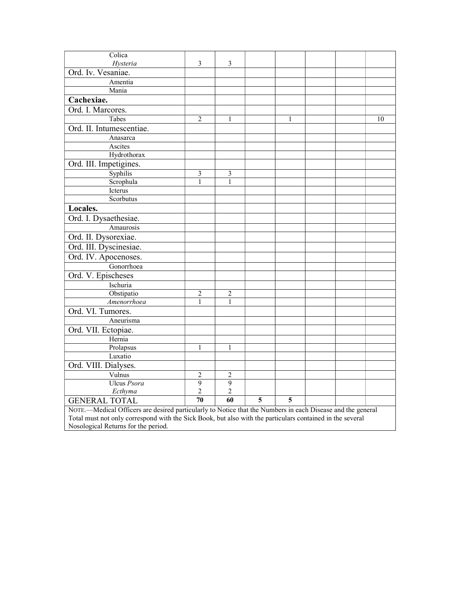| Colica                                                                                                     |                 |                 |                |                         |  |  |    |
|------------------------------------------------------------------------------------------------------------|-----------------|-----------------|----------------|-------------------------|--|--|----|
| Hysteria                                                                                                   | $\mathfrak{Z}$  | 3               |                |                         |  |  |    |
| Ord. Iv. Vesaniae.                                                                                         |                 |                 |                |                         |  |  |    |
| Amentia                                                                                                    |                 |                 |                |                         |  |  |    |
| Mania                                                                                                      |                 |                 |                |                         |  |  |    |
| Cachexiae.                                                                                                 |                 |                 |                |                         |  |  |    |
| Ord. I. Marcores.                                                                                          |                 |                 |                |                         |  |  |    |
| Tabes                                                                                                      | $\overline{2}$  | 1               |                | 1                       |  |  | 10 |
| Ord. II. Intumescentiae.                                                                                   |                 |                 |                |                         |  |  |    |
| Anasarca                                                                                                   |                 |                 |                |                         |  |  |    |
| Ascites                                                                                                    |                 |                 |                |                         |  |  |    |
| Hydrothorax                                                                                                |                 |                 |                |                         |  |  |    |
| Ord. III. Impetigines.                                                                                     |                 |                 |                |                         |  |  |    |
| Syphilis                                                                                                   | $\mathfrak{Z}$  | 3               |                |                         |  |  |    |
| Scrophula                                                                                                  | 1               | 1               |                |                         |  |  |    |
| Icterus                                                                                                    |                 |                 |                |                         |  |  |    |
| Scorbutus                                                                                                  |                 |                 |                |                         |  |  |    |
| Locales.                                                                                                   |                 |                 |                |                         |  |  |    |
| Ord. I. Dysaethesiae.                                                                                      |                 |                 |                |                         |  |  |    |
| Amaurosis                                                                                                  |                 |                 |                |                         |  |  |    |
| Ord. II. Dysorexiae.                                                                                       |                 |                 |                |                         |  |  |    |
| Ord. III. Dyscinesiae.                                                                                     |                 |                 |                |                         |  |  |    |
| Ord. IV. Apocenoses.                                                                                       |                 |                 |                |                         |  |  |    |
| Gonorrhoea                                                                                                 |                 |                 |                |                         |  |  |    |
| Ord. V. Epischeses                                                                                         |                 |                 |                |                         |  |  |    |
| Ischuria                                                                                                   |                 |                 |                |                         |  |  |    |
| Obstipatio                                                                                                 | 2               | $\overline{2}$  |                |                         |  |  |    |
| Amenorrhoea                                                                                                | $\mathbf{1}$    | $\mathbf{1}$    |                |                         |  |  |    |
| Ord. VI. Tumores.                                                                                          |                 |                 |                |                         |  |  |    |
| Aneurisma                                                                                                  |                 |                 |                |                         |  |  |    |
| Ord. VII. Ectopiae.                                                                                        |                 |                 |                |                         |  |  |    |
| Hernia                                                                                                     |                 |                 |                |                         |  |  |    |
| Prolapsus                                                                                                  | 1               | 1               |                |                         |  |  |    |
| Luxatio                                                                                                    |                 |                 |                |                         |  |  |    |
| Ord. VIII. Dialyses.                                                                                       |                 |                 |                |                         |  |  |    |
| Vulnus                                                                                                     | 2               | 2               |                |                         |  |  |    |
| Ulcus Psora                                                                                                | $\overline{9}$  | $\overline{9}$  |                |                         |  |  |    |
| Ecthyma                                                                                                    | 2               | 2               |                |                         |  |  |    |
| <b>GENERAL TOTAL</b>                                                                                       | $\overline{70}$ | $\overline{60}$ | $\overline{5}$ | $\overline{\mathbf{5}}$ |  |  |    |
| NOTE.—Medical Officers are desired particularly to Notice that the Numbers in each Disease and the general |                 |                 |                |                         |  |  |    |
| Total must not only correspond with the Sick Book, but also with the particulars contained in the several  |                 |                 |                |                         |  |  |    |
| Nosological Returns for the period.                                                                        |                 |                 |                |                         |  |  |    |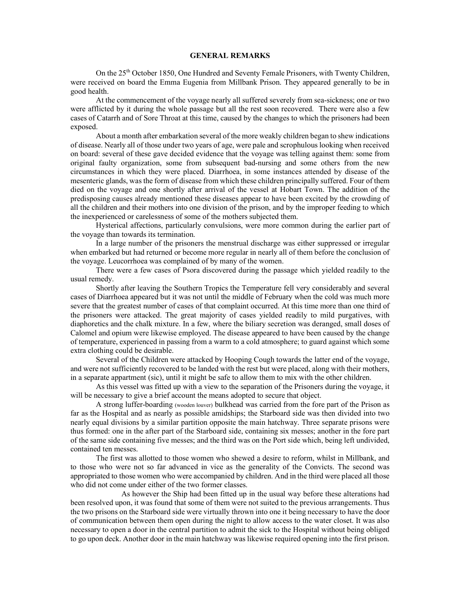#### GENERAL REMARKS

 On the 25th October 1850, One Hundred and Seventy Female Prisoners, with Twenty Children, were received on board the Emma Eugenia from Millbank Prison. They appeared generally to be in good health.

 At the commencement of the voyage nearly all suffered severely from sea-sickness; one or two were afflicted by it during the whole passage but all the rest soon recovered. There were also a few cases of Catarrh and of Sore Throat at this time, caused by the changes to which the prisoners had been exposed.

 About a month after embarkation several of the more weakly children began to shew indications of disease. Nearly all of those under two years of age, were pale and scrophulous looking when received on board: several of these gave decided evidence that the voyage was telling against them: some from original faulty organization, some from subsequent bad-nursing and some others from the new circumstances in which they were placed. Diarrhoea, in some instances attended by disease of the mesenteric glands, was the form of disease from which these children principally suffered. Four of them died on the voyage and one shortly after arrival of the vessel at Hobart Town. The addition of the predisposing causes already mentioned these diseases appear to have been excited by the crowding of all the children and their mothers into one division of the prison, and by the improper feeding to which the inexperienced or carelessness of some of the mothers subjected them.

 Hysterical affections, particularly convulsions, were more common during the earlier part of the voyage than towards its termination.

 In a large number of the prisoners the menstrual discharge was either suppressed or irregular when embarked but had returned or become more regular in nearly all of them before the conclusion of the voyage. Leucorrhoea was complained of by many of the women.

 There were a few cases of Psora discovered during the passage which yielded readily to the usual remedy.

 Shortly after leaving the Southern Tropics the Temperature fell very considerably and several cases of Diarrhoea appeared but it was not until the middle of February when the cold was much more severe that the greatest number of cases of that complaint occurred. At this time more than one third of the prisoners were attacked. The great majority of cases yielded readily to mild purgatives, with diaphoretics and the chalk mixture. In a few, where the biliary secretion was deranged, small doses of Calomel and opium were likewise employed. The disease appeared to have been caused by the change of temperature, experienced in passing from a warm to a cold atmosphere; to guard against which some extra clothing could be desirable.

 Several of the Children were attacked by Hooping Cough towards the latter end of the voyage, and were not sufficiently recovered to be landed with the rest but were placed, along with their mothers, in a separate appartment (sic), until it might be safe to allow them to mix with the other children.

 As this vessel was fitted up with a view to the separation of the Prisoners during the voyage, it will be necessary to give a brief account the means adopted to secure that object.

 A strong luffer-boarding (wooden louver) bulkhead was carried from the fore part of the Prison as far as the Hospital and as nearly as possible amidships; the Starboard side was then divided into two nearly equal divisions by a similar partition opposite the main hatchway. Three separate prisons were thus formed: one in the after part of the Starboard side, containing six messes; another in the fore part of the same side containing five messes; and the third was on the Port side which, being left undivided, contained ten messes.

The first was allotted to those women who shewed a desire to reform, whilst in Millbank, and to those who were not so far advanced in vice as the generality of the Convicts. The second was appropriated to those women who were accompanied by children. And in the third were placed all those who did not come under either of the two former classes.

 As however the Ship had been fitted up in the usual way before these alterations had been resolved upon, it was found that some of them were not suited to the previous arrangements. Thus the two prisons on the Starboard side were virtually thrown into one it being necessary to have the door of communication between them open during the night to allow access to the water closet. It was also necessary to open a door in the central partition to admit the sick to the Hospital without being obliged to go upon deck. Another door in the main hatchway was likewise required opening into the first prison.